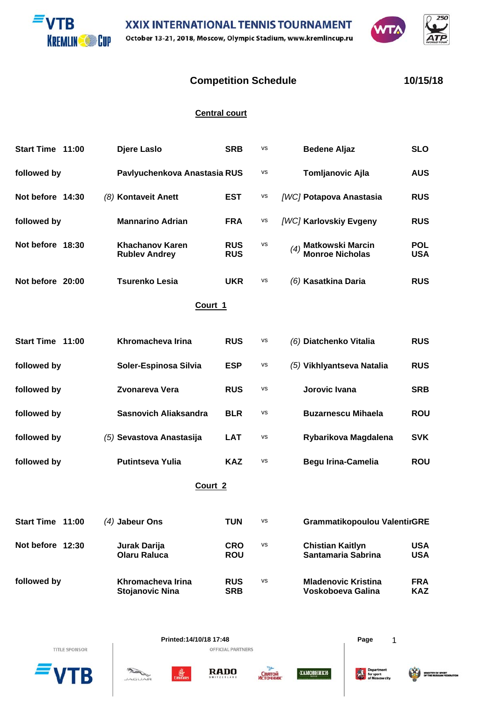



## **Competition Schedule 10/15/18**

 $750$ 

## **Central court**

| Start Time 11:00 | Djere Laslo                             | <b>SRB</b>               | <b>VS</b> | <b>Bedene Aljaz</b>                                      | <b>SLO</b>               |  |  |
|------------------|-----------------------------------------|--------------------------|-----------|----------------------------------------------------------|--------------------------|--|--|
| followed by      | Pavlyuchenkova Anastasia RUS            |                          | <b>VS</b> | <b>Tomljanovic Ajla</b>                                  | <b>AUS</b>               |  |  |
| Not before 14:30 | (8) Kontaveit Anett                     | <b>EST</b>               | VS        | [WC] Potapova Anastasia                                  | <b>RUS</b>               |  |  |
| followed by      | <b>Mannarino Adrian</b>                 | <b>FRA</b>               | vs        | [WC] Karlovskiy Evgeny                                   | <b>RUS</b>               |  |  |
| Not before 18:30 | Khachanov Karen<br><b>Rublev Andrey</b> | <b>RUS</b><br><b>RUS</b> | <b>VS</b> | <b>Matkowski Marcin</b><br>(4)<br><b>Monroe Nicholas</b> | <b>POL</b><br><b>USA</b> |  |  |
| Not before 20:00 | Tsurenko Lesia                          | <b>UKR</b>               | vs        | (6) Kasatkina Daria                                      | <b>RUS</b>               |  |  |
| Court 1          |                                         |                          |           |                                                          |                          |  |  |
| Start Time 11:00 | Khromacheva Irina                       | <b>RUS</b>               | vs        | (6) Diatchenko Vitalia                                   | <b>RUS</b>               |  |  |
| followed by      | Soler-Espinosa Silvia                   | <b>ESP</b>               | VS        | (5) Vikhlyantseva Natalia                                | <b>RUS</b>               |  |  |

| followed by | Zvonareva Vera           | <b>RUS</b> | vs | Jorovic Ivana             | <b>SRB</b> |
|-------------|--------------------------|------------|----|---------------------------|------------|
| followed by | Sasnovich Aliaksandra    | <b>BLR</b> | vs | <b>Buzarnescu Mihaela</b> | <b>ROU</b> |
| followed by | (5) Sevastova Anastasija | <b>LAT</b> | vs | Rybarikova Magdalena      | <b>SVK</b> |
| followed by | <b>Putintseva Yulia</b>  | <b>KAZ</b> | vs | Begu Irina-Camelia        | <b>ROU</b> |

**Court 2**

| Start Time 11:00 | $(4)$ Jabeur Ons                            | <b>TUN</b>               | vs | Grammatikopoulou ValentirGRE                    |                          |
|------------------|---------------------------------------------|--------------------------|----|-------------------------------------------------|--------------------------|
| Not before 12:30 | Jurak Darija<br><b>Olaru Raluca</b>         | <b>CRO</b><br><b>ROU</b> | vs | <b>Chistian Kaitlyn</b><br>Santamaria Sabrina   | USA<br><b>USA</b>        |
| followed by      | Khromacheva Irina<br><b>Stojanovic Nina</b> | <b>RUS</b><br><b>SRB</b> | vs | <b>Mladenovic Kristina</b><br>Voskoboeva Galina | <b>FRA</b><br><b>KAZ</b> |



왊

 $ACU$ 







激情